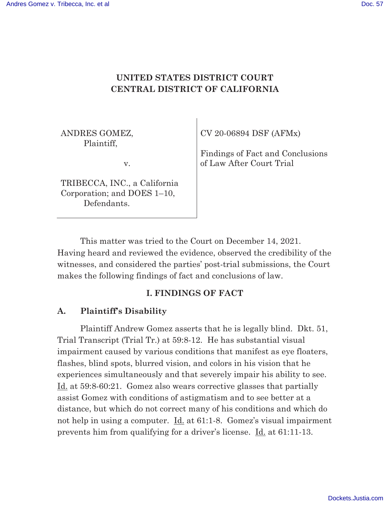# **UNITED STATES DISTRICT COURT CENTRAL DISTRICT OF CALIFORNIA**

ANDRES GOMEZ, Plaintiff,

v.

TRIBECCA, INC., a California Corporation; and DOES 1–10, Defendants.

CV 20-06894 DSF (AFMx)

Findings of Fact and Conclusions of Law After Court Trial

 This matter was tried to the Court on December 14, 2021. Having heard and reviewed the evidence, observed the credibility of the witnesses, and considered the parties' post-trial submissions, the Court makes the following findings of fact and conclusions of law.

### **I. FINDINGS OF FACT**

### **A. Plaintiff's Disability**

Plaintiff Andrew Gomez asserts that he is legally blind. Dkt. 51, Trial Transcript (Trial Tr.) at 59:8-12. He has substantial visual impairment caused by various conditions that manifest as eye floaters, flashes, blind spots, blurred vision, and colors in his vision that he experiences simultaneously and that severely impair his ability to see. Id. at 59:8-60:21. Gomez also wears corrective glasses that partially assist Gomez with conditions of astigmatism and to see better at a distance, but which do not correct many of his conditions and which do not help in using a computer. <u>Id.</u> at 61:1-8. Gomez's visual impairment prevents him from qualifying for a driver's license. Id. at 61:11-13.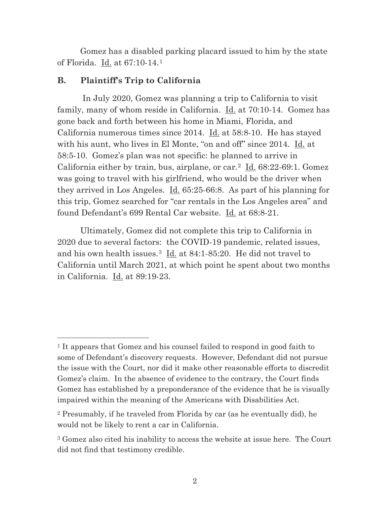Gomez has a disabled parking placard issued to him by the state of Florida. Id. at 67:10-14.<sup>1</sup>

### **B. Plaintiff's Trip to California**

 In July 2020, Gomez was planning a trip to California to visit family, many of whom reside in California. Id. at 70:10-14. Gomez has gone back and forth between his home in Miami, Florida, and California numerous times since 2014. Id. at 58:8-10. He has stayed with his aunt, who lives in El Monte, "on and off" since 2014. Id. at 58:5-10. Gomez's plan was not specific: he planned to arrive in California either by train, bus, airplane, or car.<sup>2</sup> Id.  $68:22-69:1$ . Gomez was going to travel with his girlfriend, who would be the driver when they arrived in Los Angeles. Id. 65:25-66:8. As part of his planning for this trip, Gomez searched for "car rentals in the Los Angeles area" and found Defendant's 699 Rental Car website. Id. at 68:8-21.

 Ultimately, Gomez did not complete this trip to California in 2020 due to several factors: the COVID-19 pandemic, related issues, and his own health issues.<sup>3</sup> Id. at 84:1-85:20. He did not travel to California until March 2021, at which point he spent about two months in California. Id. at 89:19-23.

<sup>1</sup> It appears that Gomez and his counsel failed to respond in good faith to some of Defendant's discovery requests. However, Defendant did not pursue the issue with the Court, nor did it make other reasonable efforts to discredit Gomez's claim. In the absence of evidence to the contrary, the Court finds Gomez has established by a preponderance of the evidence that he is visually impaired within the meaning of the Americans with Disabilities Act.

<sup>2</sup> Presumably, if he traveled from Florida by car (as he eventually did), he would not be likely to rent a car in California.

<sup>3</sup> Gomez also cited his inability to access the website at issue here. The Court did not find that testimony credible.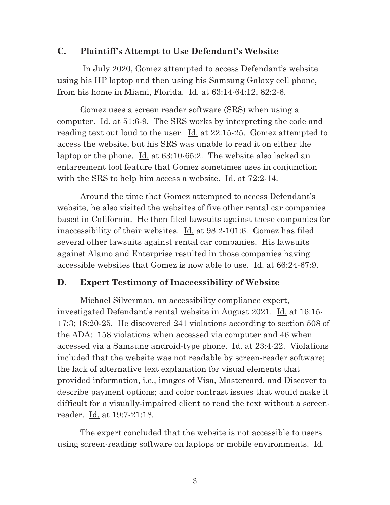### **C. Plaintiff's Attempt to Use Defendant's Website**

 In July 2020, Gomez attempted to access Defendant's website using his HP laptop and then using his Samsung Galaxy cell phone, from his home in Miami, Florida. Id. at 63:14-64:12, 82:2-6.

 Gomez uses a screen reader software (SRS) when using a computer. Id. at 51:6-9. The SRS works by interpreting the code and reading text out loud to the user.  $\underline{Id}$  at 22:15-25. Gomez attempted to access the website, but his SRS was unable to read it on either the laptop or the phone. <u>Id.</u> at 63:10-65:2. The website also lacked an enlargement tool feature that Gomez sometimes uses in conjunction with the SRS to help him access a website. Id. at 72:2-14.

 Around the time that Gomez attempted to access Defendant's website, he also visited the websites of five other rental car companies based in California. He then filed lawsuits against these companies for inaccessibility of their websites. Id. at 98:2-101:6. Gomez has filed several other lawsuits against rental car companies. His lawsuits against Alamo and Enterprise resulted in those companies having accessible websites that Gomez is now able to use. Id. at 66:24-67:9.

#### **D. Expert Testimony of Inaccessibility of Website**

 Michael Silverman, an accessibility compliance expert, investigated Defendant's rental website in August 2021. Id. at 16:15- 17:3; 18:20-25. He discovered 241 violations according to section 508 of the ADA: 158 violations when accessed via computer and 46 when accessed via a Samsung android-type phone. Id. at 23:4-22. Violations included that the website was not readable by screen-reader software; the lack of alternative text explanation for visual elements that provided information, i.e., images of Visa, Mastercard, and Discover to describe payment options; and color contrast issues that would make it difficult for a visually-impaired client to read the text without a screenreader. Id. at 19:7-21:18.

 The expert concluded that the website is not accessible to users using screen-reading software on laptops or mobile environments. Id.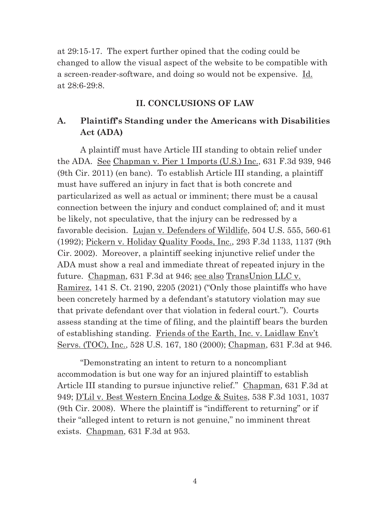at 29:15-17. The expert further opined that the coding could be changed to allow the visual aspect of the website to be compatible with a screen-reader-software, and doing so would not be expensive. Id. at 28:6-29:8.

#### **II. CONCLUSIONS OF LAW**

## **A. Plaintiff's Standing under the Americans with Disabilities Act (ADA)**

 A plaintiff must have Article III standing to obtain relief under the ADA. See Chapman v. Pier 1 Imports (U.S.) Inc., 631 F.3d 939, 946 (9th Cir. 2011) (en banc). To establish Article III standing, a plaintiff must have suffered an injury in fact that is both concrete and particularized as well as actual or imminent; there must be a causal connection between the injury and conduct complained of; and it must be likely, not speculative, that the injury can be redressed by a favorable decision. Lujan v. Defenders of Wildlife, 504 U.S. 555, 560-61 (1992); Pickern v. Holiday Quality Foods, Inc., 293 F.3d 1133, 1137 (9th Cir. 2002). Moreover, a plaintiff seeking injunctive relief under the ADA must show a real and immediate threat of repeated injury in the future. Chapman, 631 F.3d at 946; <u>see also TransUnion LLC v.</u> Ramirez, 141 S. Ct. 2190, 2205 (2021) ("Only those plaintiffs who have been concretely harmed by a defendant's statutory violation may sue that private defendant over that violation in federal court."). Courts assess standing at the time of filing, and the plaintiff bears the burden of establishing standing. Friends of the Earth, Inc. v. Laidlaw Env't Servs. (TOC), Inc., 528 U.S. 167, 180 (2000); Chapman, 631 F.3d at 946.

 "Demonstrating an intent to return to a noncompliant accommodation is but one way for an injured plaintiff to establish Article III standing to pursue injunctive relief." Chapman, 631 F.3d at 949; D'Lil v. Best Western Encina Lodge & Suites, 538 F.3d 1031, 1037 (9th Cir. 2008). Where the plaintiff is "indifferent to returning" or if their "alleged intent to return is not genuine," no imminent threat exists. Chapman, 631 F.3d at 953.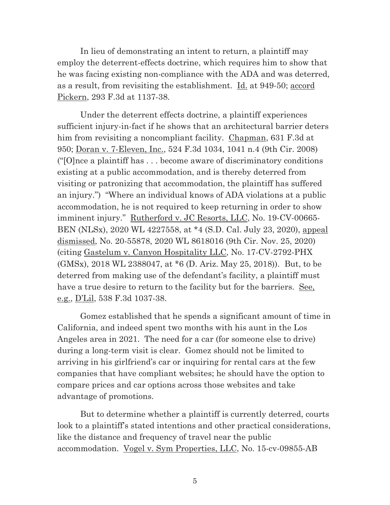In lieu of demonstrating an intent to return, a plaintiff may employ the deterrent-effects doctrine, which requires him to show that he was facing existing non-compliance with the ADA and was deterred, as a result, from revisiting the establishment. Id. at 949-50; accord Pickern, 293 F.3d at 1137-38.

 Under the deterrent effects doctrine, a plaintiff experiences sufficient injury-in-fact if he shows that an architectural barrier deters him from revisiting a noncompliant facility. Chapman, 631 F.3d at 950; Doran v. 7-Eleven, Inc., 524 F.3d 1034, 1041 n.4 (9th Cir. 2008) ("[O]nce a plaintiff has . . . become aware of discriminatory conditions existing at a public accommodation, and is thereby deterred from visiting or patronizing that accommodation, the plaintiff has suffered an injury.") "Where an individual knows of ADA violations at a public accommodation, he is not required to keep returning in order to show imminent injury." Rutherford v. JC Resorts, LLC, No. 19-CV-00665-BEN (NLSx), 2020 WL 4227558, at \*4 (S.D. Cal. July 23, 2020), appeal dismissed, No. 20-55878, 2020 WL 8618016 (9th Cir. Nov. 25, 2020) (citing Gastelum v. Canyon Hospitality LLC, No. 17-CV-2792-PHX (GMSx), 2018 WL 2388047, at \*6 (D. Ariz. May 25, 2018)). But, to be deterred from making use of the defendant's facility, a plaintiff must have a true desire to return to the facility but for the barriers. See, e.g., D'Lil, 538 F.3d 1037-38.

Gomez established that he spends a significant amount of time in California, and indeed spent two months with his aunt in the Los Angeles area in 2021. The need for a car (for someone else to drive) during a long-term visit is clear. Gomez should not be limited to arriving in his girlfriend's car or inquiring for rental cars at the few companies that have compliant websites; he should have the option to compare prices and car options across those websites and take advantage of promotions.

But to determine whether a plaintiff is currently deterred, courts look to a plaintiff's stated intentions and other practical considerations, like the distance and frequency of travel near the public accommodation. Vogel v. Sym Properties, LLC, No. 15-cv-09855-AB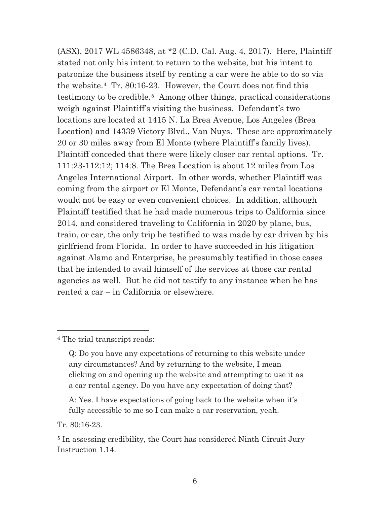(ASX), 2017 WL 4586348, at \*2 (C.D. Cal. Aug. 4, 2017). Here, Plaintiff stated not only his intent to return to the website, but his intent to patronize the business itself by renting a car were he able to do so via the website.4 Tr. 80:16-23. However, the Court does not find this testimony to be credible.5 Among other things, practical considerations weigh against Plaintiff's visiting the business. Defendant's two locations are located at 1415 N. La Brea Avenue, Los Angeles (Brea Location) and 14339 Victory Blvd., Van Nuys. These are approximately 20 or 30 miles away from El Monte (where Plaintiff's family lives). Plaintiff conceded that there were likely closer car rental options. Tr. 111:23-112:12; 114:8. The Brea Location is about 12 miles from Los Angeles International Airport. In other words, whether Plaintiff was coming from the airport or El Monte, Defendant's car rental locations would not be easy or even convenient choices. In addition, although Plaintiff testified that he had made numerous trips to California since 2014, and considered traveling to California in 2020 by plane, bus, train, or car, the only trip he testified to was made by car driven by his girlfriend from Florida. In order to have succeeded in his litigation against Alamo and Enterprise, he presumably testified in those cases that he intended to avail himself of the services at those car rental agencies as well. But he did not testify to any instance when he has rented a car – in California or elsewhere.

<sup>4</sup> The trial transcript reads:

Tr. 80:16-23.

Q: Do you have any expectations of returning to this website under any circumstances? And by returning to the website, I mean clicking on and opening up the website and attempting to use it as a car rental agency. Do you have any expectation of doing that?

A: Yes. I have expectations of going back to the website when it's fully accessible to me so I can make a car reservation, yeah.

<sup>5</sup> In assessing credibility, the Court has considered Ninth Circuit Jury Instruction 1.14.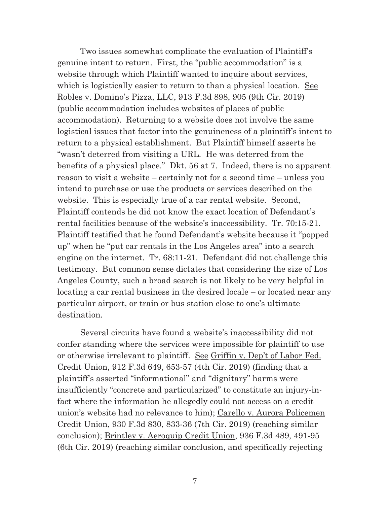Two issues somewhat complicate the evaluation of Plaintiff's genuine intent to return. First, the "public accommodation" is a website through which Plaintiff wanted to inquire about services, which is logistically easier to return to than a physical location. See Robles v. Domino's Pizza, LLC, 913 F.3d 898, 905 (9th Cir. 2019) (public accommodation includes websites of places of public accommodation). Returning to a website does not involve the same logistical issues that factor into the genuineness of a plaintiff's intent to return to a physical establishment. But Plaintiff himself asserts he "wasn't deterred from visiting a URL. He was deterred from the benefits of a physical place." Dkt. 56 at 7. Indeed, there is no apparent reason to visit a website – certainly not for a second time – unless you intend to purchase or use the products or services described on the website. This is especially true of a car rental website. Second, Plaintiff contends he did not know the exact location of Defendant's rental facilities because of the website's inaccessibility. Tr. 70:15-21. Plaintiff testified that he found Defendant's website because it "popped up" when he "put car rentals in the Los Angeles area" into a search engine on the internet. Tr. 68:11-21. Defendant did not challenge this testimony. But common sense dictates that considering the size of Los Angeles County, such a broad search is not likely to be very helpful in locating a car rental business in the desired locale – or located near any particular airport, or train or bus station close to one's ultimate destination.

Several circuits have found a website's inaccessibility did not confer standing where the services were impossible for plaintiff to use or otherwise irrelevant to plaintiff. See Griffin v. Dep't of Labor Fed. Credit Union, 912 F.3d 649, 653-57 (4th Cir. 2019) (finding that a plaintiff's asserted "informational" and "dignitary" harms were insufficiently "concrete and particularized" to constitute an injury-infact where the information he allegedly could not access on a credit union's website had no relevance to him); Carello v. Aurora Policemen Credit Union, 930 F.3d 830, 833-36 (7th Cir. 2019) (reaching similar conclusion); Brintley v. Aeroquip Credit Union, 936 F.3d 489, 491-95 (6th Cir. 2019) (reaching similar conclusion, and specifically rejecting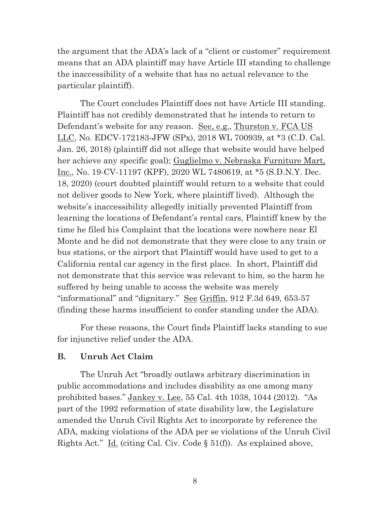the argument that the ADA's lack of a "client or customer" requirement means that an ADA plaintiff may have Article III standing to challenge the inaccessibility of a website that has no actual relevance to the particular plaintiff).

The Court concludes Plaintiff does not have Article III standing. Plaintiff has not credibly demonstrated that he intends to return to Defendant's website for any reason. See, e.g., Thurston v. FCA US LLC, No. EDCV-172183-JFW (SPx), 2018 WL 700939, at \*3 (C.D. Cal. Jan. 26, 2018) (plaintiff did not allege that website would have helped her achieve any specific goal); Guglielmo v. Nebraska Furniture Mart, Inc., No. 19-CV-11197 (KPF), 2020 WL 7480619, at \*5 (S.D.N.Y. Dec. 18, 2020) (court doubted plaintiff would return to a website that could not deliver goods to New York, where plaintiff lived). Although the website's inaccessibility allegedly initially prevented Plaintiff from learning the locations of Defendant's rental cars, Plaintiff knew by the time he filed his Complaint that the locations were nowhere near El Monte and he did not demonstrate that they were close to any train or bus stations, or the airport that Plaintiff would have used to get to a California rental car agency in the first place. In short, Plaintiff did not demonstrate that this service was relevant to him, so the harm he suffered by being unable to access the website was merely "informational" and "dignitary." See Griffin, 912 F.3d 649, 653-57 (finding these harms insufficient to confer standing under the ADA).

For these reasons, the Court finds Plaintiff lacks standing to sue for injunctive relief under the ADA.

#### **B. Unruh Act Claim**

 The Unruh Act "broadly outlaws arbitrary discrimination in public accommodations and includes disability as one among many prohibited bases." Jankey v. Lee, 55 Cal. 4th 1038, 1044 (2012). "As part of the 1992 reformation of state disability law, the Legislature amended the Unruh Civil Rights Act to incorporate by reference the ADA, making violations of the ADA per se violations of the Unruh Civil Rights Act." Id. (citing Cal. Civ. Code § 51(f)). As explained above,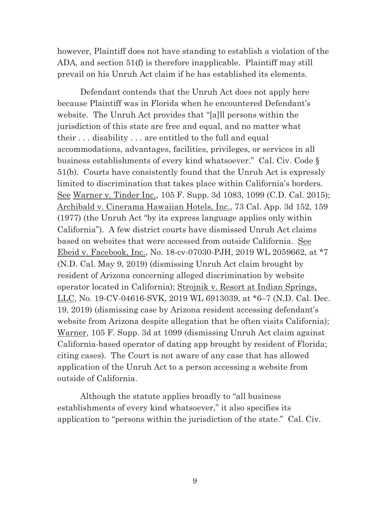however, Plaintiff does not have standing to establish a violation of the ADA, and section 51(f) is therefore inapplicable. Plaintiff may still prevail on his Unruh Act claim if he has established its elements.

 Defendant contends that the Unruh Act does not apply here because Plaintiff was in Florida when he encountered Defendant's website. The Unruh Act provides that "[a]ll persons within the jurisdiction of this state are free and equal, and no matter what their . . . disability . . . are entitled to the full and equal accommodations, advantages, facilities, privileges, or services in all business establishments of every kind whatsoever." Cal. Civ. Code § 51(b). Courts have consistently found that the Unruh Act is expressly limited to discrimination that takes place within California's borders. See Warner v. Tinder Inc., 105 F. Supp. 3d 1083, 1099 (C.D. Cal. 2015); Archibald v. Cinerama Hawaiian Hotels, Inc., 73 Cal. App. 3d 152, 159 (1977) (the Unruh Act "by its express language applies only within California"). A few district courts have dismissed Unruh Act claims based on websites that were accessed from outside California. See Ebeid v. Facebook, Inc., No. 18-cv-07030-PJH, 2019 WL 2059662, at \*7 (N.D. Cal. May 9, 2019) (dismissing Unruh Act claim brought by resident of Arizona concerning alleged discrimination by website operator located in California); Strojnik v. Resort at Indian Springs, LLC, No. 19-CV-04616-SVK, 2019 WL 6913039, at \*6–7 (N.D. Cal. Dec. 19, 2019) (dismissing case by Arizona resident accessing defendant's website from Arizona despite allegation that he often visits California); Warner, 105 F. Supp. 3d at 1099 (dismissing Unruh Act claim against California-based operator of dating app brought by resident of Florida; citing cases). The Court is not aware of any case that has allowed application of the Unruh Act to a person accessing a website from outside of California.

 Although the statute applies broadly to "all business establishments of every kind whatsoever," it also specifies its application to "persons within the jurisdiction of the state." Cal. Civ.